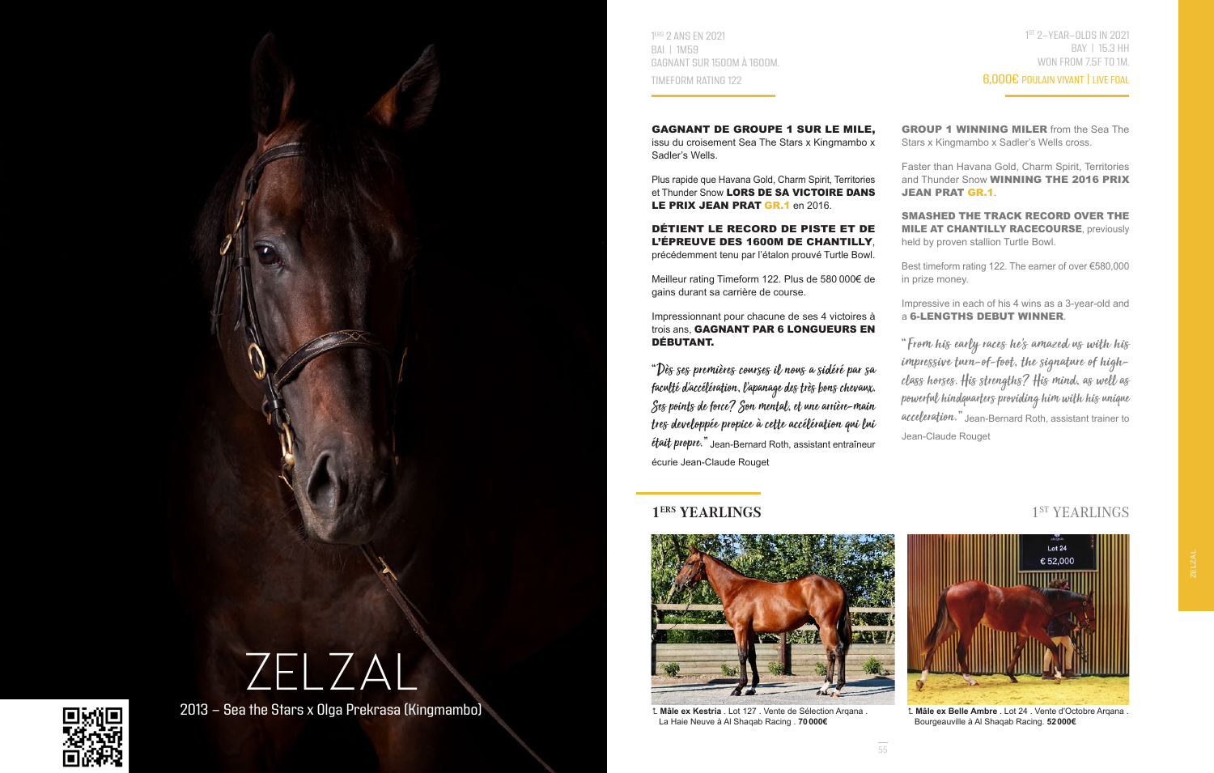



2013 - Sea the Stars x Olga Prekrasa (Kingmambo)

1 ERS 2 ANS EN 2021 BAI | 1M59 GAGNANT SUR 1500M À 1600M. TIMEFORM RATING 122

GAGNANT DE GROUPE 1 SUR LE MILE, issu du croisement Sea The Stars x Kingmambo x Sadler's Wells.

Plus rapide que Havana Gold, Charm Spirit, Territories et Thunder Snow LORS DE SA VICTOIRE DANS LE PRIX JEAN PRAT GR.1 en 2016.

DÉTIENT LE RECORD DE PISTE ET DE L'ÉPREUVE DES 1600M DE CHANTILLY, précédemment tenu par l'étalon prouvé Turtle Bowl.

Meilleur rating Timeform 122. Plus de 580 000€ de gains durant sa carrière de course.

Impressionnant pour chacune de ses 4 victoires à trois ans, GAGNANT PAR 6 LONGUEURS EN DÉBUTANT.

"Dès ses premières courses il nous a sidéré par sa faculté d'accélération, l'apanage des très bons chevaux. Ses points de force? Son mental, et une arrière-main tres developpée propice à cette accélération qui lui était propre." Jean-Bernard Roth, assistant entraîneur écurie Jean-Claude Rouget

# **1<sup>ERS</sup> YEARLINGS** 1<sup>ST</sup> YEARLINGS



 **Mâle ex Kestria** . Lot 127 . Vente de Sélection Arqana . La Haie Neuve à Al Shaqab Racing . **70000€**

1 ST 2-YEAR-OLDS IN 2021 BAY | 15.3 HH WON FROM 7.5F TO 1M.

## 6,000€ POULAIN VIVANT | LIVE FOAL

GROUP 1 WINNING MILER from the Sea The Stars x Kingmambo x Sadler's Wells cross.

Faster than Havana Gold, Charm Spirit, Territories and Thunder Snow **WINNING THE 2016 PRIX** JEAN PRAT GR.1.

SMASHED THE TRACK RECORD OVER THE **MILE AT CHANTILLY RACECOURSE, previously** held by proven stallion Turtle Bowl.

Best timeform rating 122. The earner of over €580,000 in prize money.

Impressive in each of his 4 wins as a 3-year-old and a 6-LENGTHS DEBUT WINNER.

"From his early races he's amazed us with his impressive turn-of-foot, the signature of highclass horses. His strengths? His mind, as well as powerful hindquarters providing him with his unique acceleration." Jean-Bernard Roth, assistant trainer to Jean-Claude Rouget



 **Mâle ex Belle Ambre** . Lot 24 . Vente d'Octobre Arqana . Bourgeauville à Al Shaqab Racing. **52000€**